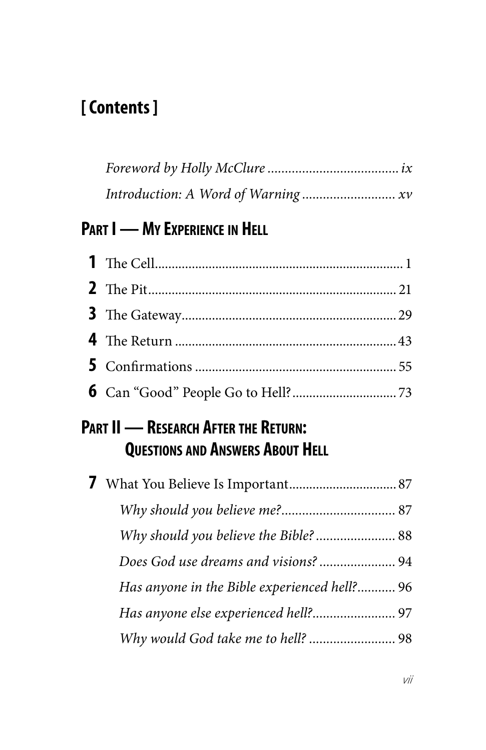## **[ Contents ]**

## **Part I—My Experience in Hell**

## **Part II— Research After the Return: Questions and Answers About Hell**

| Why should you believe the Bible? 88         |  |
|----------------------------------------------|--|
|                                              |  |
| Has anyone in the Bible experienced hell? 96 |  |
|                                              |  |
|                                              |  |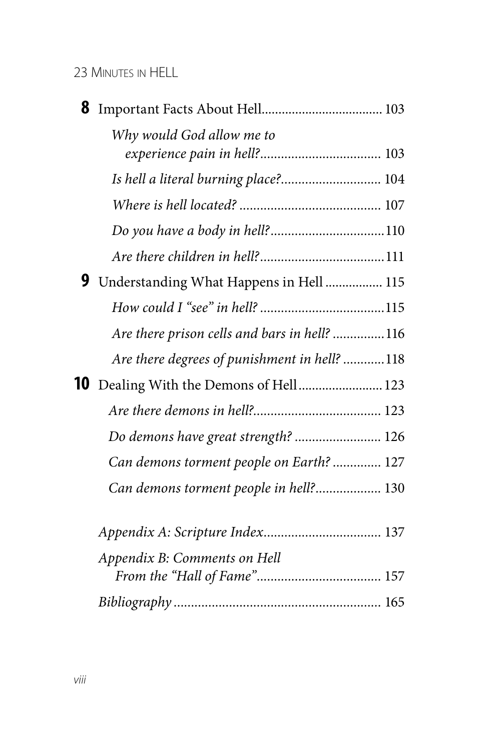| Why would God allow me to                    |  |
|----------------------------------------------|--|
| Is hell a literal burning place? 104         |  |
|                                              |  |
|                                              |  |
|                                              |  |
| 9 Understanding What Happens in Hell  115    |  |
|                                              |  |
| Are there prison cells and bars in hell? 116 |  |
| Are there degrees of punishment in hell? 118 |  |
|                                              |  |
|                                              |  |
| Do demons have great strength?  126          |  |
| Can demons torment people on Earth?  127     |  |
| Can demons torment people in hell? 130       |  |
|                                              |  |
| Appendix B: Comments on Hell                 |  |
|                                              |  |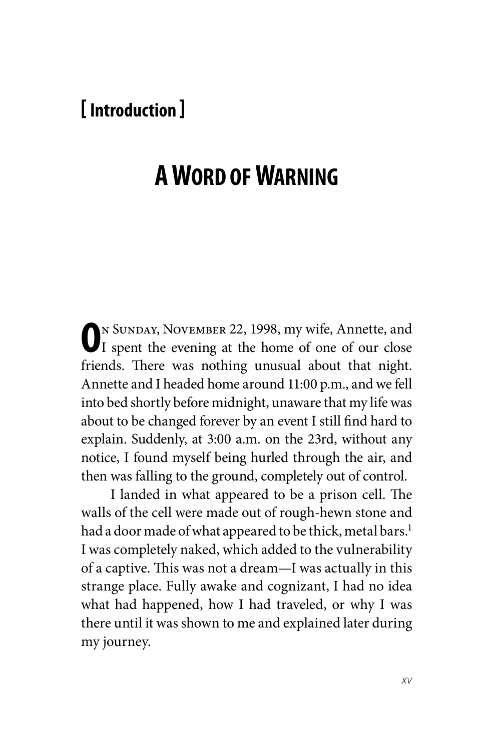## **[ Introduction ]**

# **AWord of Warning**

**O**N SUNDAY, NOVEMBER 22, 1998, my wife, Annette, and I spent the evening at the home of one of our close friends. There was nothing unusual about that night. Annette and I headed home around 11:00 p.m., and we fell into bed shortly before midnight, unaware that my lifewas about to be changed forever by an event I still find hard to explain. Suddenly, at 3:00 a.m. on the 23rd, without any notice, I found myself being hurled through the air, and then was falling to the ground, completely out of control.

I landed in what appeared to be a prison cell. The walls of the cell were made out of rough-hewn stone and had a door made of what appeared to be thick, metal bars.<sup>1</sup> I was completely naked, which added to the vulnerability of a captive. This was not a dream—I was actually in this strange place. Fully awake and cognizant, I had no idea what had happened, how I had traveled, or why I was there until it was shown to me and explained later during my journey.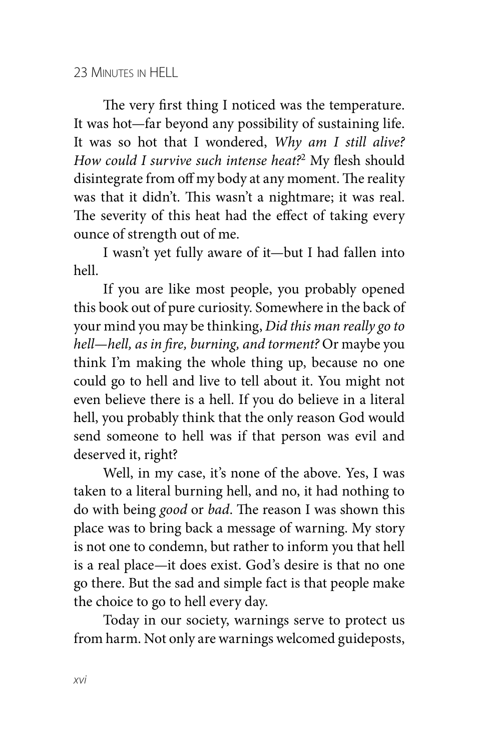The very first thing I noticed was the temperature. It was hot—far beyond any possibility of sustaining life. It was so hot that I wondered, *Why am I still alive? How could I survive such intense heat?*<sup>2</sup> My flesh should disintegrate from off my body at any moment. The reality was that it didn't. This wasn't a nightmare; it was real. The severity of this heat had the effect of taking every ounce of strength out of me.

I wasn't yet fully aware of it—but I had fallen into hell.

If you are like most people, you probably opened this book out of pure curiosity. Somewhere in the back of your mind you may be thinking, *Did this man really go to hell—hell, as in fire, burning, and torment?* Or maybe you think I'm making the whole thing up, because no one could go to hell and live to tell about it. You might not even believe there is a hell. If you do believe in a literal hell, you probably think that the only reason God would send someone to hell was if that person was evil and deserved it, right?

Well, in my case, it's none of the above. Yes, I was taken to a literal burning hell, and no, it had nothing to do with being *good* or *bad*. The reason I was shown this place was to bring back a message of warning. My story is not one to condemn, but rather to inform you that hell is a real place—it does exist. God's desire is that no one go there. But the sad and simple fact is that people make the choice to go to hell every day.

Today in our society, warnings serve to protect us from harm. Not only are warnings welcomed guideposts,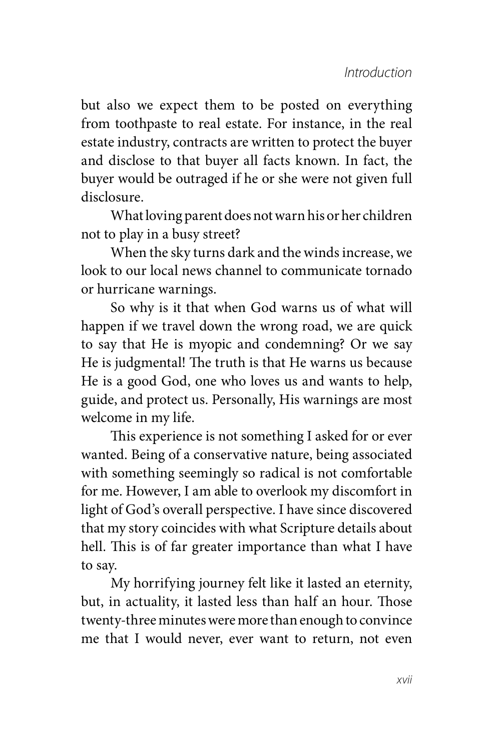but also we expect them to be posted on everything from toothpaste to real estate. For instance, in the real estate industry, contracts are written to protect the buyer and disclose to that buyer all facts known. In fact, the buyer would be outraged if he or she were not given full disclosure.

What loving parent does not warn his or her children not to play in a busy street?

When the sky turns dark and the winds increase, we look to our local news channel to communicate tornado or hurricane warnings.

So why is it that when God warns us of what will happen if we travel down the wrong road, we are quick to say that He is myopic and condemning? Or we say He is judgmental! The truth is that He warns us because He is a good God, one who loves us and wants to help, guide, and protect us. Personally, His warnings are most welcome in my life.

This experience is not something I asked for or ever wanted. Being of a conservative nature, being associated with something seemingly so radical is not comfortable for me. However, I am able to overlook my discomfort in light of God's overall perspective. I have since discovered that my story coincides with what Scripture details about hell. This is of far greater importance than what I have to say.

My horrifying journey felt like it lasted an eternity, but, in actuality, it lasted less than half an hour. Those twenty-three minutes were more than enough to convince me that I would never, ever want to return, not even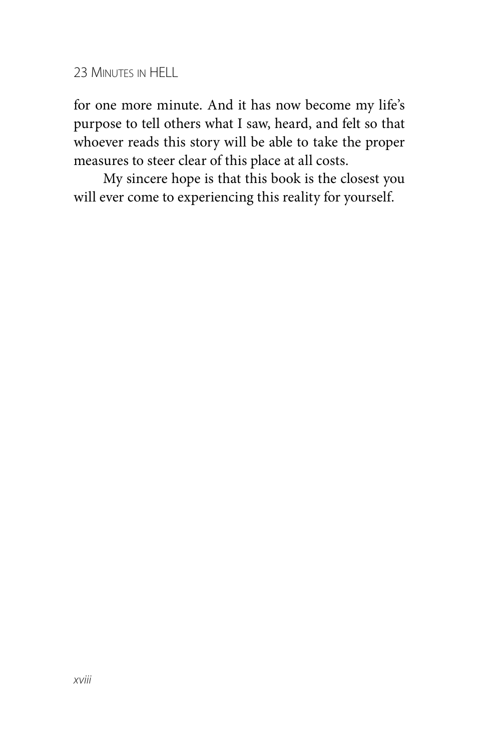for one more minute. And it has now become my life's purpose to tell others what I saw, heard, and felt so that whoever reads this story will be able to take the proper measures to steer clear of this place at all costs.

My sincere hope is that this book is the closest you will ever come to experiencing this reality for yourself.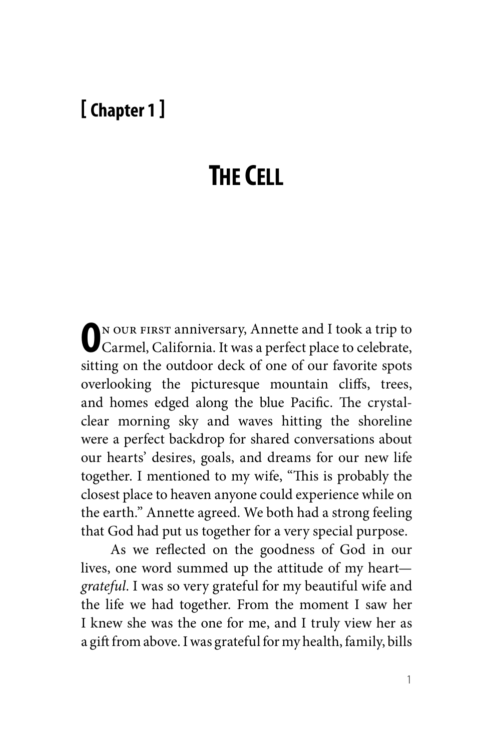# **[ Chapter 1 ]**

# **The Cell**

N OUR FIRST anniversary, Annette and I took a trip to Carmel, California. It was a perfect place to celebrate, sitting on the outdoor deck of one of our favorite spots overlooking the picturesque mountain cliffs, trees, and homes edged along the blue Pacific. The crystalclear morning sky and waves hitting the shoreline were a perfect backdrop for shared conversations about our hearts' desires, goals, and dreams for our new life together. I mentioned to my wife, "This is probably the closest place to heaven anyone could experience while on the earth." Annette agreed. We both had a strong feeling that God had put us together for a very special purpose.

As we reflected on the goodness of God in our lives, one word summed up the attitude of my heart *grateful*. I was so very grateful for my beautiful wife and the life we had together. From the moment I saw her I knew she was the one for me, and I truly view her as a gift from above. I was grateful for my health, family, bills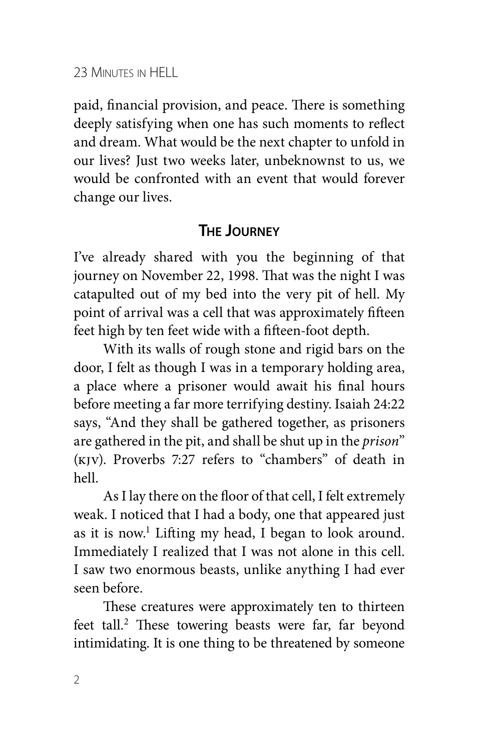paid, financial provision, and peace. There is something deeply satisfying when one has such moments to reflect and dream. What would be the next chapter to unfold in our lives? Just two weeks later, unbeknownst to us, we would be confronted with an event that would forever change our lives.

## **The Journey**

I've already shared with you the beginning of that journey on November 22, 1998. That was the night I was catapulted out of my bed into the very pit of hell. My point of arrival was a cell that was approximately fifteen feet high by ten feet wide with a fifteen-foot depth.

With its walls of rough stone and rigid bars on the door, I felt as though I was in a temporary holding area, a place where a prisoner would await his final hours before meeting a far more terrifying destiny. Isaiah 24:22 says, "And they shall be gathered together, as prisoners are gathered in the pit, and shall be shut up in the *prison*" (kjv). Proverbs 7:27 refers to "chambers" of death in hell.

AsI lay there on the floor of that cell, I felt extremely weak. I noticed that I had a body, one that appeared just as it is now.<sup>1</sup> Lifting my head, I began to look around. Immediately I realized that I was not alone in this cell. I saw two enormous beasts, unlike anything I had ever seen before.

These creatures were approximately ten to thirteen feet tall.<sup>2</sup> These towering beasts were far, far beyond intimidating. It is one thing to be threatened by someone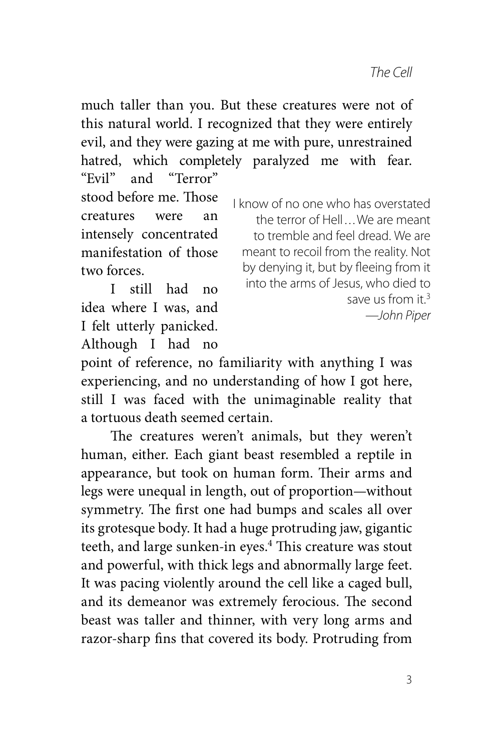much taller than you. But these creatures were not of this natural world. I recognized that they were entirely evil, and they were gazing at me with pure, unrestrained hatred, which completely paralyzed me with fear. "Evil" and "Terror"

stood before me. Those creatures were an intensely concentrated manifestation of those two forces.

I still had no idea where I was, and I felt utterly panicked. Although I had no

I know of no one who has overstated the terror of Hell ... We are meant to tremble and feel dread. We are meant to recoil from the reality. Not by denying it, but by fleeing from it into the arms of Jesus, who died to save us from it.<sup>3</sup> *—John Piper*

point of reference, no familiarity with anything I was experiencing, and no understanding of how I got here, still I was faced with the unimaginable reality that a tortuous death seemed certain.

The creatures weren't animals, but they weren't human, either. Each giant beast resembled a reptile in appearance, but took on human form. Their arms and legs were unequal in length, out of proportion—without symmetry. The first one had bumps and scales all over its grotesque body. It had a huge protruding jaw, gigantic teeth, and large sunken-in eyes.<sup>4</sup> This creature was stout and powerful, with thick legs and abnormally large feet. It was pacing violently around the cell like a caged bull, and its demeanor was extremely ferocious. The second beast was taller and thinner, with very long arms and razor-sharp fins that covered its body. Protruding from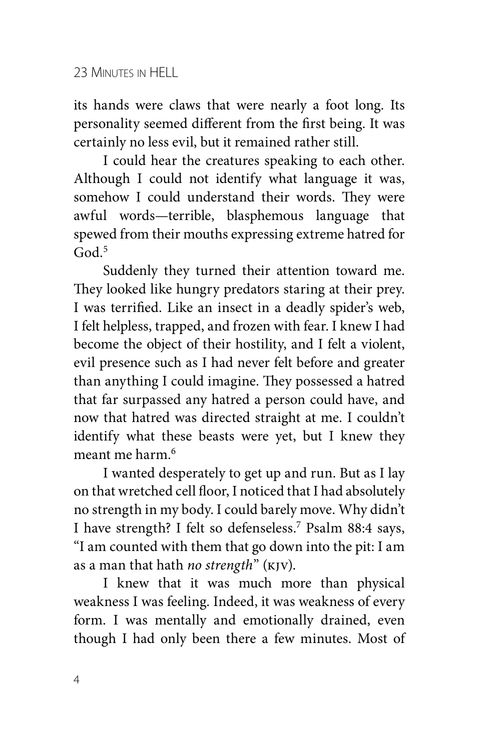its hands were claws that were nearly a foot long. Its personality seemed different from the first being. It was certainly no less evil, but it remained rather still.

I could hear the creatures speaking to each other. Although I could not identify what language it was, somehow I could understand their words. They were awful words—terrible, blasphemous language that spewed from their mouths expressing extreme hatred for  $God<sup>5</sup>$ 

Suddenly they turned their attention toward me. They looked like hungry predators staring at their prey. I was terrified. Like an insect in a deadly spider's web, I felt helpless, trapped, and frozen with fear. I knew I had become the object of their hostility, and I felt a violent, evil presence such as I had never felt before and greater than anything I could imagine. They possessed a hatred that far surpassed any hatred a person could have, and now that hatred was directed straight at me. I couldn't identify what these beasts were yet, but I knew they meant me harm.<sup>6</sup>

I wanted desperately to get up and run. But as I lay on that wretched cell floor, I noticed that I had absolutely no strength in my body. I could barely move. Why didn't I have strength? I felt so defenseless.7 Psalm 88:4 says, "I am counted with them that go down into the pit: I am as a man that hath *no strength*" (kjv).

I knew that it was much more than physical weakness I was feeling. Indeed, it was weakness of every form. I was mentally and emotionally drained, even though I had only been there a few minutes. Most of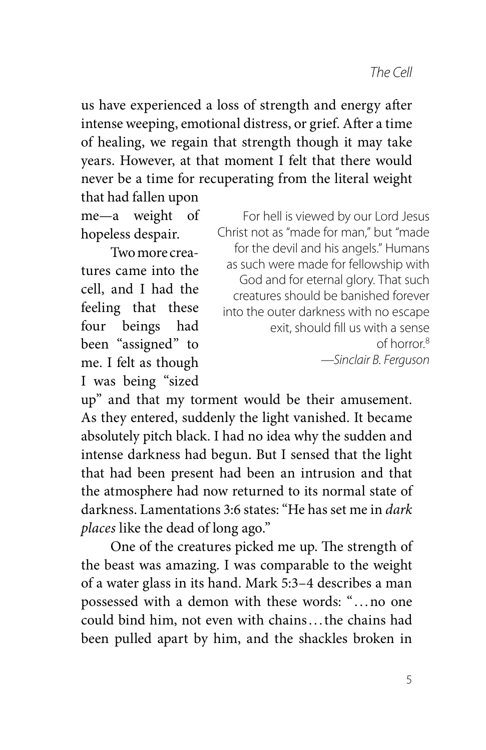us have experienced a loss of strength and energy after intense weeping, emotional distress, or grief. After a time of healing, we regain that strength though it may take years. However, at that moment I felt that there would never be a time for recuperating from the literal weight that had fallen upon

me—a weight of hopeless despair.

Twomore creatures came into the cell, and I had the feeling that these four beings had been "assigned" to me. I felt as though I was being "sized

For hell is viewed by our Lord Jesus Christ not as "made for man," but "made for the devil and his angels." Humans as such were made for fellowship with God and for eternal glory. That such creatures should be banished forever into the outer darkness with no escape exit, should fill us with a sense of horror.8 *—Sinclair B. Ferguson*

up" and that my torment would be their amusement. As they entered, suddenly the light vanished. It became absolutely pitch black. I had no idea why the sudden and intense darkness had begun. But I sensed that the light that had been present had been an intrusion and that the atmosphere had now returned to its normal state of darkness. Lamentations 3:6 states:"He has set me in *dark places* like the dead of long ago."

One of the creatures picked me up. The strength of the beast was amazing. I was comparable to the weight of a water glass in its hand. Mark 5:3–4 describes a man possessed with a demon with these words: ". . .no one could bind him, not even with chains. . .the chains had been pulled apart by him, and the shackles broken in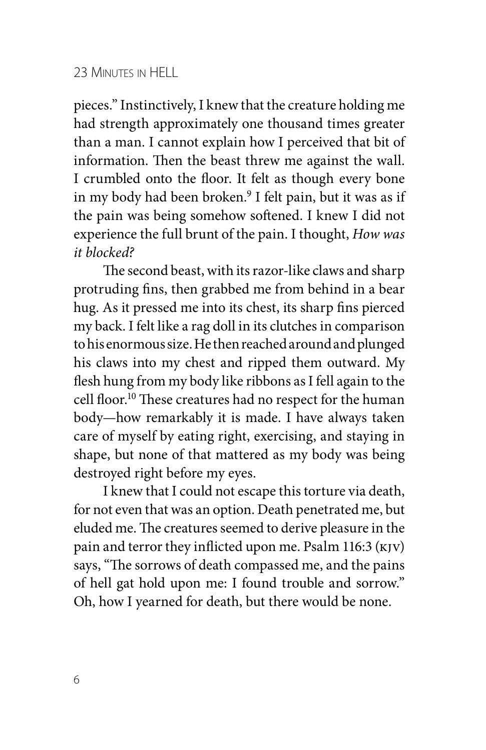pieces." Instinctively,I knewthat the creature holding me had strength approximately one thousand times greater than a man. I cannot explain how I perceived that bit of information. Then the beast threw me against the wall. I crumbled onto the floor. It felt as though every bone in my body had been broken.<sup>9</sup> I felt pain, but it was as if the pain was being somehow softened. I knew I did not experience the full brunt of the pain. I thought, *How was it blocked?*

The second beast, with its razor-like claws and sharp protruding fins, then grabbed me from behind in a bear hug. As it pressed me into its chest, its sharp fins pierced my back. I felt like a rag doll in its clutches in comparison to his enormous size. He then reached around and plunged his claws into my chest and ripped them outward. My flesh hung from my body like ribbons as I fell again to the cell floor.10 These creatures had no respect for the human body—how remarkably it is made. I have always taken care of myself by eating right, exercising, and staying in shape, but none of that mattered as my body was being destroyed right before my eyes.

I knew that I could not escape this torture via death, for not even that was an option. Death penetrated me, but eluded me. The creatures seemed to derive pleasure in the pain and terror they inflicted upon me. Psalm 116:3 (kjv) says,"The sorrows of death compassed me, and the pains of hell gat hold upon me: I found trouble and sorrow." Oh, how I yearned for death, but there would be none.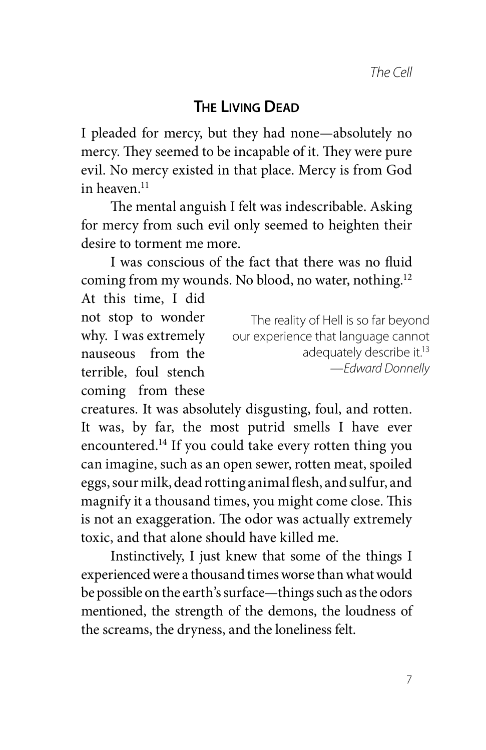## **The Living Dead**

I pleaded for mercy, but they had none—absolutely no mercy. They seemed to be incapable of it. They were pure evil. No mercy existed in that place. Mercy is from God in heaven  $11$ 

The mental anguish I felt was indescribable. Asking for mercy from such evil only seemed to heighten their desire to torment me more.

I was conscious of the fact that there was no fluid coming from my wounds. No blood, no water, nothing.<sup>12</sup>

At this time, I did not stop to wonder why. I was extremely nauseous from the terrible, foul stench coming from these

The reality of Hell is so far beyond our experience that language cannot adequately describe it.<sup>13</sup> *—Edward Donnelly*

creatures. It was absolutely disgusting, foul, and rotten. It was, by far, the most putrid smells I have ever encountered.14 If you could take every rotten thing you can imagine, such as an open sewer, rotten meat, spoiled eggs, sour milk, dead rotting animal flesh, and sulfur, and magnify it a thousand times, you might come close. This is not an exaggeration. The odor was actually extremely toxic, and that alone should have killed me.

Instinctively, I just knew that some of the things I experienced were a thousand times worse than what would be possible on the earth's surface—things such as the odors mentioned, the strength of the demons, the loudness of the screams, the dryness, and the loneliness felt.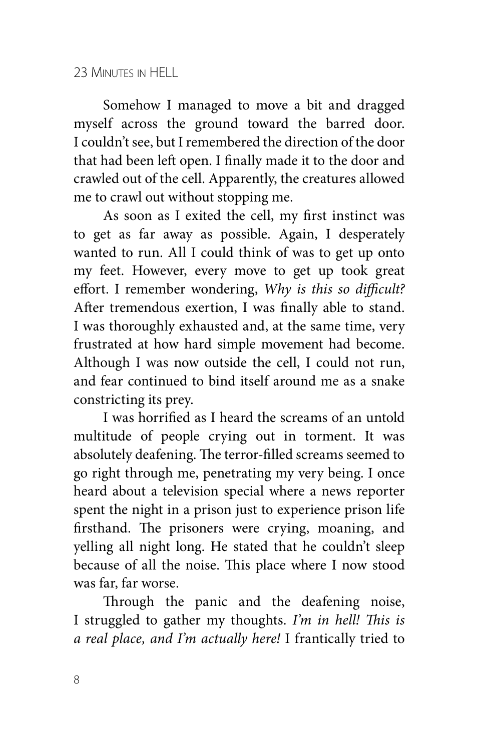Somehow I managed to move a bit and dragged myself across the ground toward the barred door. I couldn't see, but I remembered the direction of the door that had been left open. I finally made it to the door and crawled out of the cell. Apparently, the creatures allowed me to crawl out without stopping me.

As soon as I exited the cell, my first instinct was to get as far away as possible. Again, I desperately wanted to run. All I could think of was to get up onto my feet. However, every move to get up took great effort. I remember wondering, *Why is this so difficult?* After tremendous exertion, I was finally able to stand. I was thoroughly exhausted and, at the same time, very frustrated at how hard simple movement had become. Although I was now outside the cell, I could not run, and fear continued to bind itself around me as a snake constricting its prey.

I was horrified as I heard the screams of an untold multitude of people crying out in torment. It was absolutely deafening. The terror-filled screams seemed to go right through me, penetrating my very being. I once heard about a television special where a news reporter spent the night in a prison just to experience prison life firsthand. The prisoners were crying, moaning, and yelling all night long. He stated that he couldn't sleep because of all the noise. This place where I now stood was far, far worse.

Through the panic and the deafening noise, I struggled to gather my thoughts. *I'm in hell! This is a real place, and I'm actually here!* I frantically tried to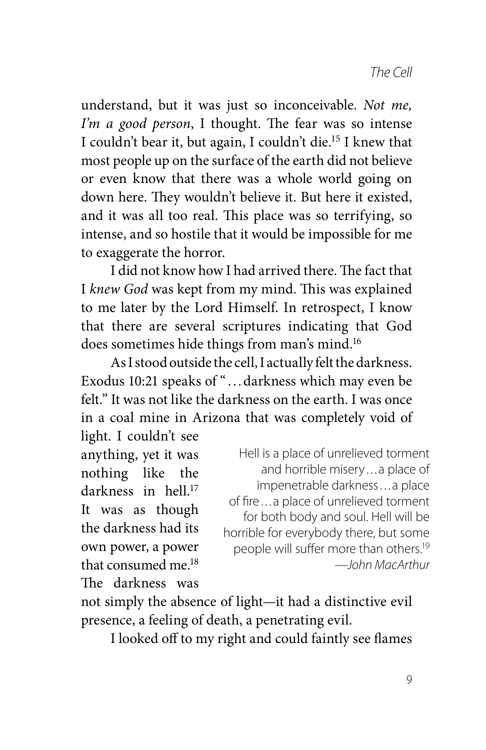understand, but it was just so inconceivable. *Not me, I'm a good person*, I thought. The fear was so intense I couldn't bear it, but again, I couldn't die.15 I knew that most people up on the surface of the earth did not believe or even know that there was a whole world going on down here. They wouldn't believe it. But here it existed, and it was all too real. This place was so terrifying, so intense, and so hostile that it would be impossible for me to exaggerate the horror.

I did not know how I had arrived there. The fact that I *knew God* was kept from my mind. This was explained to me later by the Lord Himself. In retrospect, I know that there are several scriptures indicating that God does sometimes hide things from man's mind.<sup>16</sup>

As I stood outside the cell, I actually felt the darkness. Exodus 10:21 speaks of "...darkness which may even be felt." It was not like the darkness on the earth. I was once in a coal mine in Arizona that was completely void of

light. I couldn't see anything, yet it was nothing like the darkness in hell.<sup>17</sup> It was as though the darkness had its own power, a power that consumed me.18 The darkness was

Hell is a place of unrelieved torment and horrible misery . . . a place of impenetrable darkness. . . a place of fire ... a place of unrelieved torment for both body and soul. Hell will be horrible for everybody there, but some people will suffer more than others.<sup>19</sup> *—John MacArthur*

not simply the absence of light—it had a distinctive evil presence, a feeling of death, a penetrating evil.

I looked off to my right and could faintly see flames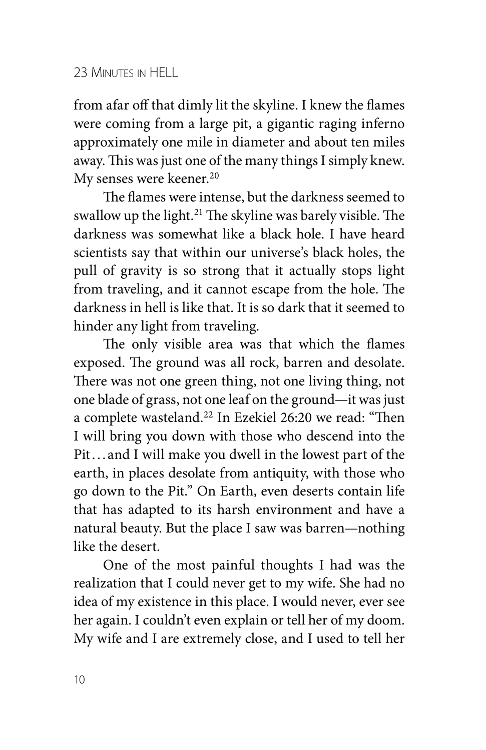from afar off that dimly lit the skyline. I knew the flames were coming from a large pit, a gigantic raging inferno approximately one mile in diameter and about ten miles away. This was just one of the many things I simply knew. My senses were keener.<sup>20</sup>

The flames were intense, but the darkness seemed to swallow up the light.<sup>21</sup> The skyline was barely visible. The darkness was somewhat like a black hole. I have heard scientists say that within our universe's black holes, the pull of gravity is so strong that it actually stops light from traveling, and it cannot escape from the hole. The darkness in hell is like that. It is so dark that it seemed to hinder any light from traveling.

The only visible area was that which the flames exposed. The ground was all rock, barren and desolate. There was not one green thing, not one living thing, not one blade of grass, not one leaf on the ground—it wasjust a complete wasteland.<sup>22</sup> In Ezekiel 26:20 we read: "Then I will bring you down with those who descend into the Pit. . . and I will make you dwell in the lowest part of the earth, in places desolate from antiquity, with those who go down to the Pit." On Earth, even deserts contain life that has adapted to its harsh environment and have a natural beauty. But the place I saw was barren—nothing like the desert.

One of the most painful thoughts I had was the realization that I could never get to my wife. She had no idea of my existence in this place. I would never, ever see her again. I couldn't even explain or tell her of my doom. My wife and I are extremely close, and I used to tell her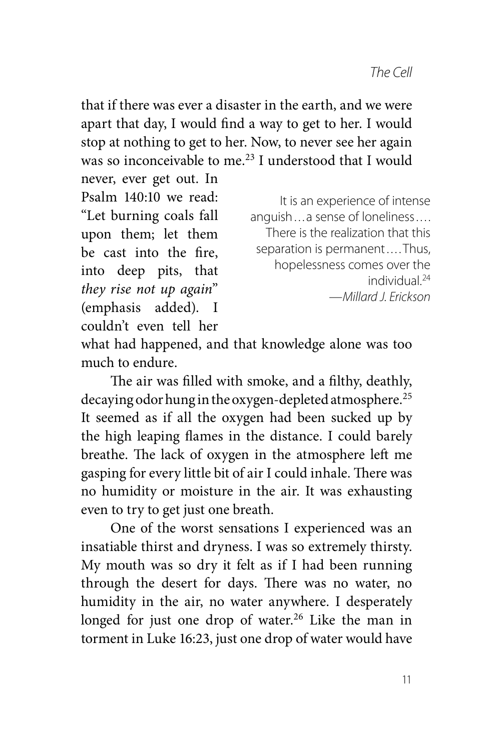that if there was ever a disaster in the earth, and we were apart that day, I would find a way to get to her. I would stop at nothing to get to her. Now, to never see her again was so inconceivable to me.<sup>23</sup> I understood that I would

never, ever get out. In Psalm 140:10 we read: "Let burning coals fall upon them; let them be cast into the fire, into deep pits, that *they rise not up again*" (emphasis added). I couldn't even tell her

It is an experience of intense anguish...a sense of loneliness.... There is the realization that this separation is permanent....Thus, hopelessness comes over the individual.24 *—Millard J. Erickson*

what had happened, and that knowledge alone was too much to endure.

The air was filled with smoke, and a filthy, deathly, decaying odor hung in the oxygen-depleted atmosphere.<sup>25</sup> It seemed as if all the oxygen had been sucked up by the high leaping flames in the distance. I could barely breathe. The lack of oxygen in the atmosphere left me gasping for every little bit of air I could inhale. There was no humidity or moisture in the air. It was exhausting even to try to get just one breath.

One of the worst sensations I experienced was an insatiable thirst and dryness. I was so extremely thirsty. My mouth was so dry it felt as if I had been running through the desert for days. There was no water, no humidity in the air, no water anywhere. I desperately longed for just one drop of water.<sup>26</sup> Like the man in torment in Luke 16:23, just one drop of water would have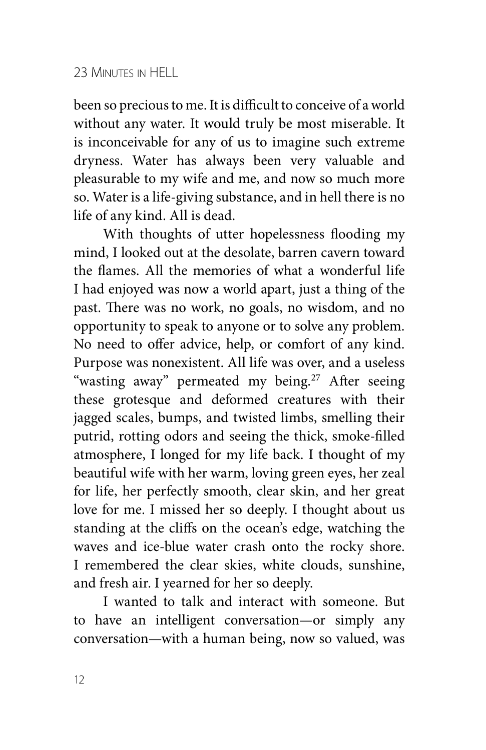been so precious to me. It is difficult to conceive of a world without any water. It would truly be most miserable. It is inconceivable for any of us to imagine such extreme dryness. Water has always been very valuable and pleasurable to my wife and me, and now so much more so. Water is a life-giving substance, and in hell there is no life of any kind. All is dead.

With thoughts of utter hopelessness flooding my mind, I looked out at the desolate, barren cavern toward the flames. All the memories of what a wonderful life I had enjoyed was now a world apart, just a thing of the past. There was no work, no goals, no wisdom, and no opportunity to speak to anyone or to solve any problem. No need to offer advice, help, or comfort of any kind. Purpose was nonexistent. All life was over, and a useless "wasting away" permeated my being.<sup>27</sup> After seeing these grotesque and deformed creatures with their jagged scales, bumps, and twisted limbs, smelling their putrid, rotting odors and seeing the thick, smoke-filled atmosphere, I longed for my life back. I thought of my beautiful wife with her warm, loving green eyes, her zeal for life, her perfectly smooth, clear skin, and her great love for me. I missed her so deeply. I thought about us standing at the cliffs on the ocean's edge, watching the waves and ice-blue water crash onto the rocky shore. I remembered the clear skies, white clouds, sunshine, and fresh air. I yearned for her so deeply.

I wanted to talk and interact with someone. But to have an intelligent conversation—or simply any conversation—with a human being, now so valued, was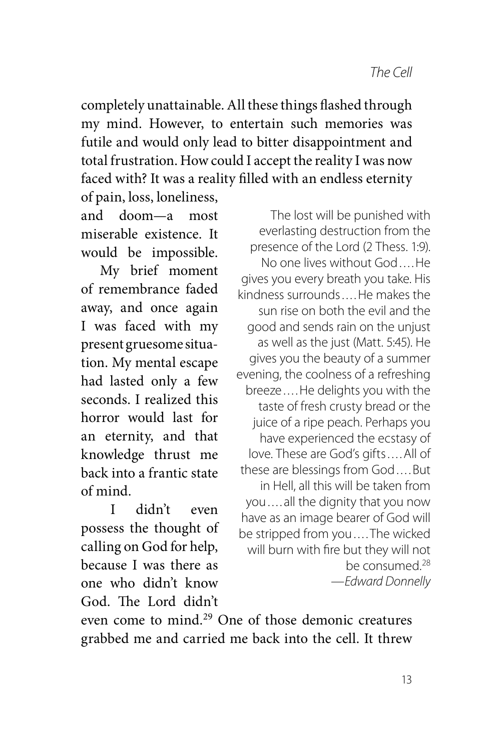completely unattainable.All these things flashed through my mind. However, to entertain such memories was futile and would only lead to bitter disappointment and total frustration. How could I accept the reality I was now faced with? It was a reality filled with an endless eternity

of pain, loss, loneliness, and doom—a most miserable existence. It would be impossible.

My brief moment of remembrance faded away, and once again I was faced with my present gruesome situation. My mental escape had lasted only a few seconds. I realized this horror would last for an eternity, and that knowledge thrust me back into a frantic state of mind.

I didn't even possess the thought of calling on God for help, because I was there as one who didn't know God. The Lord didn't

The lost will be punished with everlasting destruction from the presence of the Lord (2 Thess. 1:9). No one lives without God....He gives you every breath you take. His kindness surrounds. . . .He makes the sun rise on both the evil and the good and sends rain on the unjust as well as the just (Matt. 5:45). He gives you the beauty of a summer evening, the coolness of a refreshing breeze .... He delights you with the taste of fresh crusty bread or the juice of a ripe peach. Perhaps you have experienced the ecstasy of love. These are God's gifts.... All of these are blessings from God....But in Hell, all this will be taken from you. . . . all the dignity that you now have as an image bearer of God will be stripped from you....The wicked will burn with fire but they will not be consumed.28 *—Edward Donnelly*

even come to mind.29 One of those demonic creatures grabbed me and carried me back into the cell. It threw